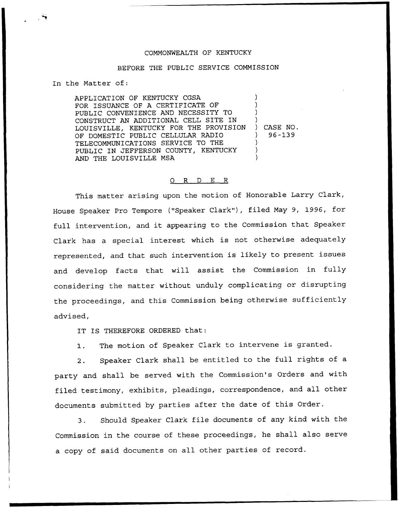## COMMONWEALTH OF KENTUCKY

## BEFORE THE PUBLIC SERVICE COMMISSION

In the Matter of:

APPLICATION OF KENTUCKY CGSA FOR ISSUANCE OF A CERTIFICATE OF PUBLIC CONVENIENCE AND NECESSITY TO CONSTRUCT AN ADDITIONAL CELL SITE IN LOUISVILLE, KENTUCKY FOR THE PROVISION OF DOMESTIC PUBLIC CELLULAR RADIO TELECOMMUNICATIONS SERVICE TO THE PUBLIC IN JEFFERSON COUNTY, KENTUCKY AND THE LOUISVILLE MSA ) ) ) ) ) CASE NO. ) 96-139 ) ) )

## 0 R <sup>D</sup> E R

This matter arising upon the motion of Honorable Larry Clark, House Speaker Pro Tempore ("Speaker Clark"), filed May 9, 1996, for full intervention, and it appearing to the Commission that Speaker Clark has a special interest which is not otherwise adequately represented, and that such intervention is likely to present issues and develop facts that will assist the Commission in fully considering the matter without unduly complicating or disrupting the proceedings, and this Commission being otherwise sufficiently advised,

IT IS THEREFORE ORDERED that:

1. The motion of Speaker Clark to intervene is granted.

2. Speaker Clark shall be entitled to the full rights of a party and shall be served with the Commission's Orders and with filed testimony, exhibits, pleadings, correspondence, and all other documents submitted by parties after the date of this Order.

3. Should Speaker Clark file documents of any kind with the Commission in the course of these proceedings, he shall also serve a copy of said documents on all other parties of record.